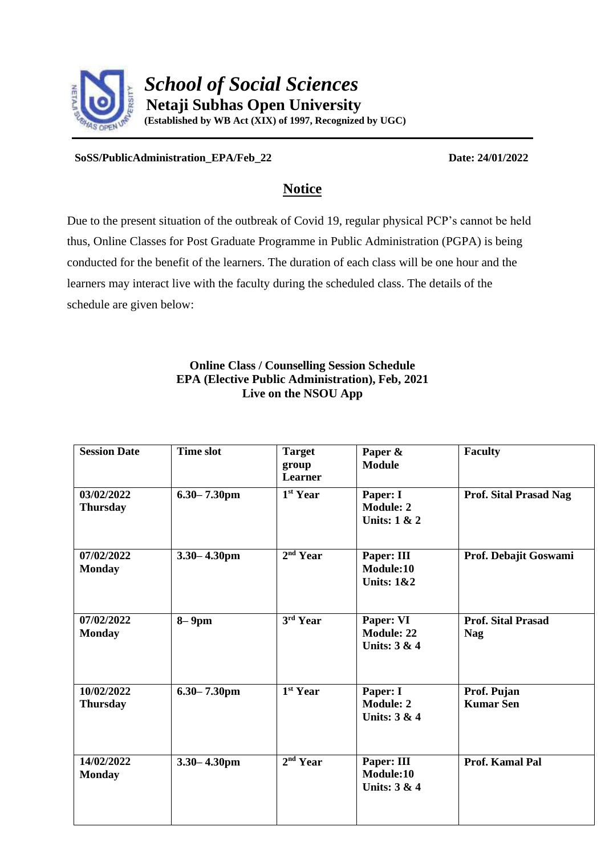

**SoSS/PublicAdministration\_EPA/Feb\_22 Date: 24/01/2022**

## **Notice**

Due to the present situation of the outbreak of Covid 19, regular physical PCP's cannot be held thus, Online Classes for Post Graduate Programme in Public Administration (PGPA) is being conducted for the benefit of the learners. The duration of each class will be one hour and the learners may interact live with the faculty during the scheduled class. The details of the schedule are given below:

## **Online Class / Counselling Session Schedule EPA (Elective Public Administration), Feb, 2021 Live on the NSOU App**

| <b>Session Date</b>           | <b>Time slot</b> | <b>Target</b><br>group<br>Learner | Paper &<br><b>Module</b>                                | <b>Faculty</b>                          |
|-------------------------------|------------------|-----------------------------------|---------------------------------------------------------|-----------------------------------------|
| 03/02/2022<br><b>Thursday</b> | $6.30 - 7.30$ pm | 1 <sup>st</sup> Year              | Paper: I<br><b>Module: 2</b><br><b>Units: 1 &amp; 2</b> | <b>Prof. Sital Prasad Nag</b>           |
| 07/02/2022<br><b>Monday</b>   | $3.30 - 4.30$ pm | 2 <sup>nd</sup> Year              | Paper: III<br>Module:10<br><b>Units: 1&amp;2</b>        | Prof. Debajit Goswami                   |
| 07/02/2022<br><b>Monday</b>   | $8-9$ pm         | 3rd Year                          | Paper: VI<br><b>Module: 22</b><br>Units: 3 & 4          | <b>Prof. Sital Prasad</b><br><b>Nag</b> |
| 10/02/2022<br><b>Thursday</b> | $6.30 - 7.30$ pm | 1 <sup>st</sup> Year              | Paper: I<br><b>Module: 2</b><br>Units: 3 & 4            | Prof. Pujan<br><b>Kumar Sen</b>         |
| 14/02/2022<br><b>Monday</b>   | $3.30 - 4.30$ pm | $2nd$ Year                        | Paper: III<br>Module:10<br>Units: 3 & 4                 | Prof. Kamal Pal                         |